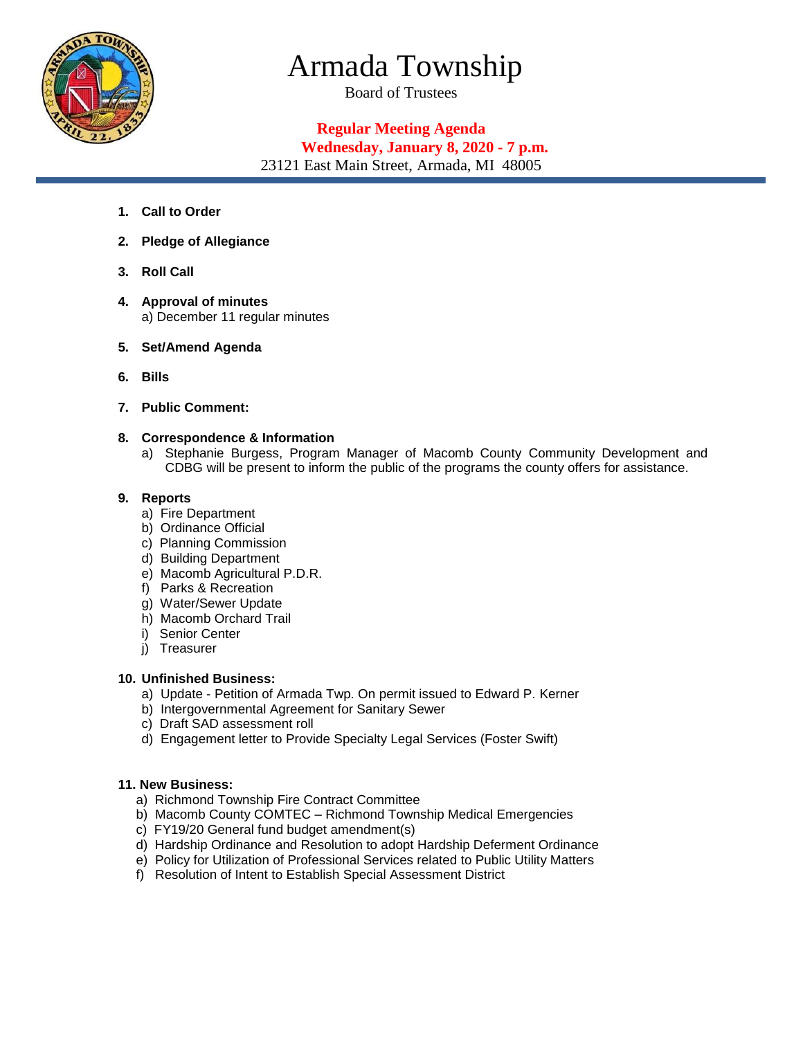

# Armada Township

Board of Trustees

# **Regular Meeting Agenda**

# **Wednesday, January 8, 2020 - 7 p.m.**

23121 East Main Street, Armada, MI 48005

- **1. Call to Order**
- **2. Pledge of Allegiance**
- **3. Roll Call**
- **4. Approval of minutes**  a) December 11 regular minutes
- **5. Set/Amend Agenda**
- **6. Bills**
- **7. Public Comment:**

### **8. Correspondence & Information**

a) Stephanie Burgess, Program Manager of Macomb County Community Development and CDBG will be present to inform the public of the programs the county offers for assistance.

#### **9. Reports**

- a) Fire Department
- b) Ordinance Official
- c) Planning Commission
- d) Building Department
- e) Macomb Agricultural P.D.R.
- f) Parks & Recreation
- g) Water/Sewer Update
- h) Macomb Orchard Trail
- i) Senior Center
- j) Treasurer

## **10. Unfinished Business:**

- a) Update Petition of Armada Twp. On permit issued to Edward P. Kerner
- b) Intergovernmental Agreement for Sanitary Sewer
- c) Draft SAD assessment roll
- d) Engagement letter to Provide Specialty Legal Services (Foster Swift)

#### **11. New Business:**

- a) Richmond Township Fire Contract Committee
- b) Macomb County COMTEC Richmond Township Medical Emergencies
- c) FY19/20 General fund budget amendment(s)
- d) Hardship Ordinance and Resolution to adopt Hardship Deferment Ordinance
- e) Policy for Utilization of Professional Services related to Public Utility Matters
- f) Resolution of Intent to Establish Special Assessment District